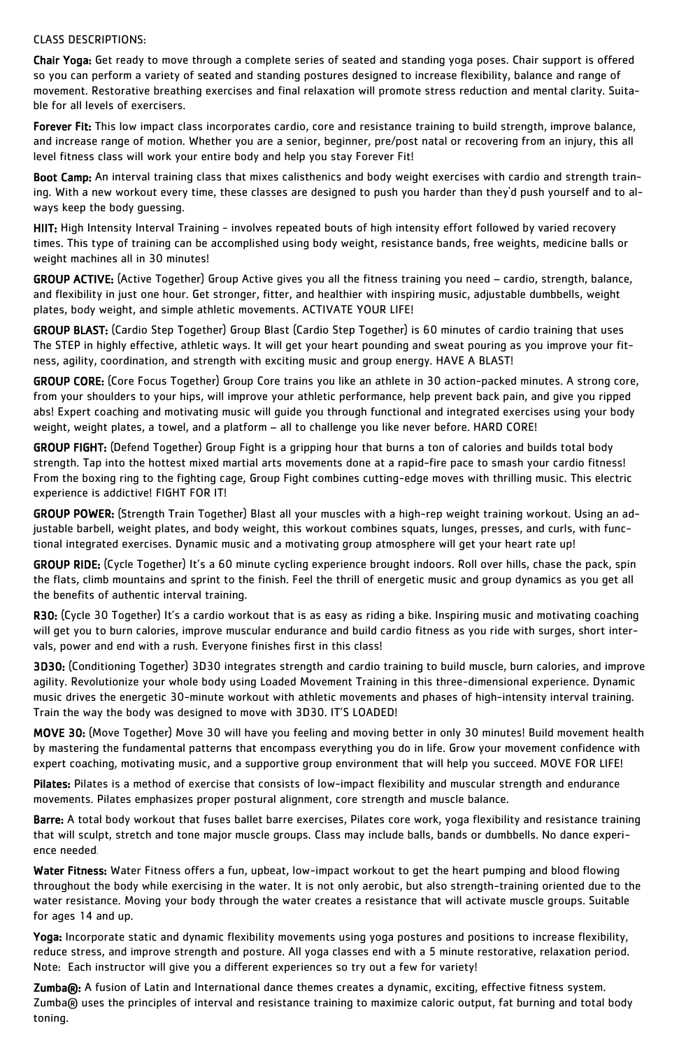### CLASS DESCRIPTIONS:

Chair Yoga: Get ready to move through a complete series of seated and standing yoga poses. Chair support is offered so you can perform a variety of seated and standing postures designed to increase flexibility, balance and range of movement. Restorative breathing exercises and final relaxation will promote stress reduction and mental clarity. Suitable for all levels of exercisers.

Forever Fit: This low impact class incorporates cardio, core and resistance training to build strength, improve balance, and increase range of motion. Whether you are a senior, beginner, pre/post natal or recovering from an injury, this all level fitness class will work your entire body and help you stay Forever Fit!

Boot Camp: An interval training class that mixes calisthenics and body weight exercises with cardio and strength training. With a new workout every time, these classes are designed to push you harder than they'd push yourself and to always keep the body guessing.

HIIT: High Intensity Interval Training - involves repeated bouts of high intensity effort followed by varied recovery times. This type of training can be accomplished using body weight, resistance bands, free weights, medicine balls or weight machines all in 30 minutes!

GROUP ACTIVE: (Active Together) Group Active gives you all the fitness training you need – cardio, strength, balance, and flexibility in just one hour. Get stronger, fitter, and healthier with inspiring music, adjustable dumbbells, weight plates, body weight, and simple athletic movements. ACTIVATE YOUR LIFE!

GROUP BLAST: (Cardio Step Together) Group Blast (Cardio Step Together) is 60 minutes of cardio training that uses The STEP in highly effective, athletic ways. It will get your heart pounding and sweat pouring as you improve your fitness, agility, coordination, and strength with exciting music and group energy. HAVE A BLAST!

R30: (Cycle 30 Together) It's a cardio workout that is as easy as riding a bike. Inspiring music and motivating coaching will get you to burn calories, improve muscular endurance and build cardio fitness as you ride with surges, short intervals, power and end with a rush. Everyone finishes first in this class!

GROUP CORE: (Core Focus Together) Group Core trains you like an athlete in 30 action-packed minutes. A strong core, from your shoulders to your hips, will improve your athletic performance, help prevent back pain, and give you ripped abs! Expert coaching and motivating music will guide you through functional and integrated exercises using your body weight, weight plates, a towel, and a platform – all to challenge you like never before. HARD CORE!

Pilates: Pilates is a method of exercise that consists of low-impact flexibility and muscular strength and endurance movements. Pilates emphasizes proper postural alignment, core strength and muscle balance.

Barre: A total body workout that fuses ballet barre exercises, Pilates core work, yoga flexibility and resistance training that will sculpt, stretch and tone major muscle groups. Class may include balls, bands or dumbbells. No dance experience needed.

GROUP FIGHT: (Defend Together) Group Fight is a gripping hour that burns a ton of calories and builds total body strength. Tap into the hottest mixed martial arts movements done at a rapid-fire pace to smash your cardio fitness! From the boxing ring to the fighting cage, Group Fight combines cutting-edge moves with thrilling music. This electric experience is addictive! FIGHT FOR IT!

Water Fitness: Water Fitness offers a fun, upbeat, low-impact workout to get the heart pumping and blood flowing throughout the body while exercising in the water. It is not only aerobic, but also strength-training oriented due to the water resistance. Moving your body through the water creates a resistance that will activate muscle groups. Suitable for ages 14 and up.

GROUP POWER: (Strength Train Together) Blast all your muscles with a high-rep weight training workout. Using an adjustable barbell, weight plates, and body weight, this workout combines squats, lunges, presses, and curls, with functional integrated exercises. Dynamic music and a motivating group atmosphere will get your heart rate up!

Zumba®: A fusion of Latin and International dance themes creates a dynamic, exciting, effective fitness system. Zumba® uses the principles of interval and resistance training to maximize caloric output, fat burning and total body toning.

GROUP RIDE: (Cycle Together) It's a 60 minute cycling experience brought indoors. Roll over hills, chase the pack, spin the flats, climb mountains and sprint to the finish. Feel the thrill of energetic music and group dynamics as you get all the benefits of authentic interval training.

3D30: (Conditioning Together) 3D30 integrates strength and cardio training to build muscle, burn calories, and improve agility. Revolutionize your whole body using Loaded Movement Training in this three-dimensional experience. Dynamic music drives the energetic 30-minute workout with athletic movements and phases of high-intensity interval training. Train the way the body was designed to move with 3D30. IT'S LOADED!

MOVE 30: (Move Together) Move 30 will have you feeling and moving better in only 30 minutes! Build movement health by mastering the fundamental patterns that encompass everything you do in life. Grow your movement confidence with expert coaching, motivating music, and a supportive group environment that will help you succeed. MOVE FOR LIFE!

Yoga: Incorporate static and dynamic flexibility movements using yoga postures and positions to increase flexibility, reduce stress, and improve strength and posture. All yoga classes end with a 5 minute restorative, relaxation period. Note: Each instructor will give you a different experiences so try out a few for variety!